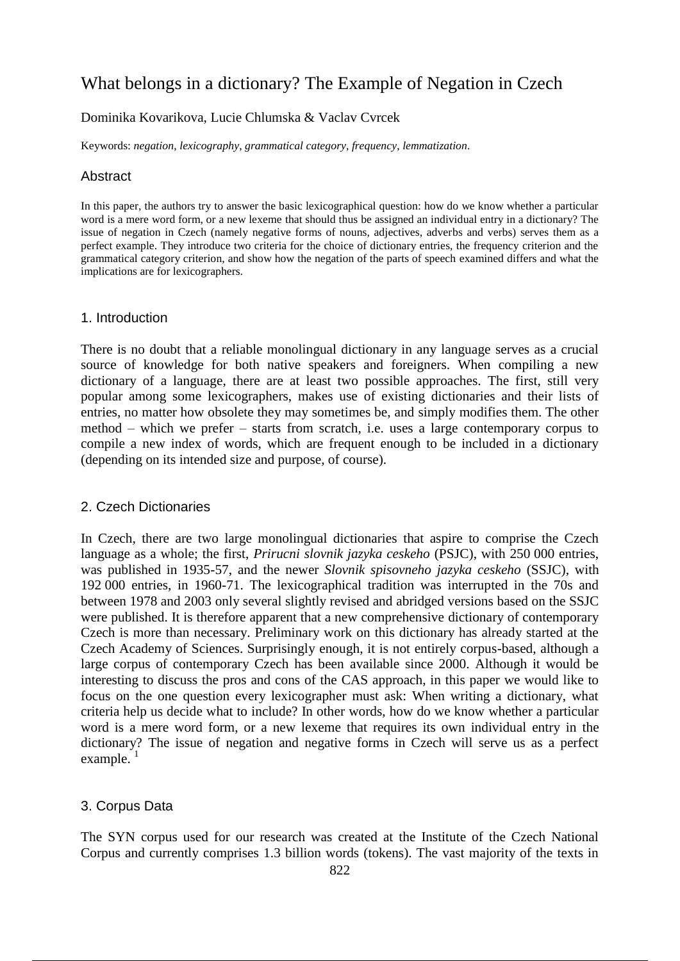# What belongs in a dictionary? The Example of Negation in Czech

# Dominika Kovarikova, Lucie Chlumska & Vaclav Cvrcek

Keywords: *negation*, *lexicography*, *grammatical category*, *frequency*, *lemmatization*.

### Abstract

In this paper, the authors try to answer the basic lexicographical question: how do we know whether a particular word is a mere word form, or a new lexeme that should thus be assigned an individual entry in a dictionary? The issue of negation in Czech (namely negative forms of nouns, adjectives, adverbs and verbs) serves them as a perfect example. They introduce two criteria for the choice of dictionary entries, the frequency criterion and the grammatical category criterion, and show how the negation of the parts of speech examined differs and what the implications are for lexicographers.

#### 1. Introduction

There is no doubt that a reliable monolingual dictionary in any language serves as a crucial source of knowledge for both native speakers and foreigners. When compiling a new dictionary of a language, there are at least two possible approaches. The first, still very popular among some lexicographers, makes use of existing dictionaries and their lists of entries, no matter how obsolete they may sometimes be, and simply modifies them. The other method – which we prefer – starts from scratch, i.e. uses a large contemporary corpus to compile a new index of words, which are frequent enough to be included in a dictionary (depending on its intended size and purpose, of course).

#### 2. Czech Dictionaries

In Czech, there are two large monolingual dictionaries that aspire to comprise the Czech language as a whole; the first, *Prirucni slovnik jazyka ceskeho* (PSJC), with 250 000 entries, was published in 1935-57, and the newer *Slovnik spisovneho jazyka ceskeho* (SSJC), with 192 000 entries, in 1960-71. The lexicographical tradition was interrupted in the 70s and between 1978 and 2003 only several slightly revised and abridged versions based on the SSJC were published. It is therefore apparent that a new comprehensive dictionary of contemporary Czech is more than necessary. Preliminary work on this dictionary has already started at the Czech Academy of Sciences. Surprisingly enough, it is not entirely corpus-based, although a large corpus of contemporary Czech has been available since 2000. Although it would be interesting to discuss the pros and cons of the CAS approach, in this paper we would like to focus on the one question every lexicographer must ask: When writing a dictionary, what criteria help us decide what to include? In other words, how do we know whether a particular word is a mere word form, or a new lexeme that requires its own individual entry in the dictionary? The issue of negation and negative forms in Czech will serve us as a perfect  $example.$ <sup>1</sup>

# 3. Corpus Data

The SYN corpus used for our research was created at the Institute of the Czech National Corpus and currently comprises 1.3 billion words (tokens). The vast majority of the texts in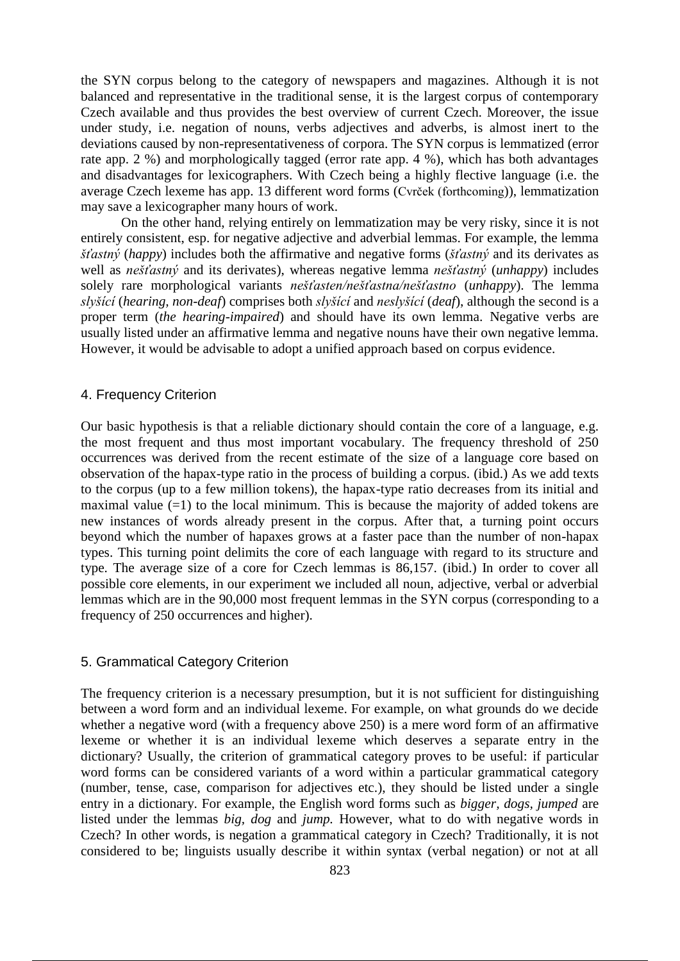the SYN corpus belong to the category of newspapers and magazines. Although it is not balanced and representative in the traditional sense, it is the largest corpus of contemporary Czech available and thus provides the best overview of current Czech. Moreover, the issue under study, i.e. negation of nouns, verbs adjectives and adverbs, is almost inert to the deviations caused by non-representativeness of corpora. The SYN corpus is lemmatized (error rate app. 2 %) and morphologically tagged (error rate app. 4 %), which has both advantages and disadvantages for lexicographers. With Czech being a highly flective language (i.e. the average Czech lexeme has app. 13 different word forms (Cvrček (forthcoming)), lemmatization may save a lexicographer many hours of work.

On the other hand, relying entirely on lemmatization may be very risky, since it is not entirely consistent, esp. for negative adjective and adverbial lemmas. For example, the lemma *šťastný* (*happy*) includes both the affirmative and negative forms (*šťastný* and its derivates as well as *nešťastný* and its derivates), whereas negative lemma *nešťastný* (*unhappy*) includes solely rare morphological variants *nešťasten/nešťastna/nešťastno* (*unhappy*). The lemma *slyšící* (*hearing, non-deaf*) comprises both *slyšící* and *neslyšící* (*deaf*), although the second is a proper term (*the hearing-impaired*) and should have its own lemma. Negative verbs are usually listed under an affirmative lemma and negative nouns have their own negative lemma. However, it would be advisable to adopt a unified approach based on corpus evidence.

# 4. Frequency Criterion

Our basic hypothesis is that a reliable dictionary should contain the core of a language, e.g. the most frequent and thus most important vocabulary. The frequency threshold of 250 occurrences was derived from the recent estimate of the size of a language core based on observation of the hapax-type ratio in the process of building a corpus. (ibid.) As we add texts to the corpus (up to a few million tokens), the hapax-type ratio decreases from its initial and maximal value  $(=1)$  to the local minimum. This is because the majority of added tokens are new instances of words already present in the corpus. After that, a turning point occurs beyond which the number of hapaxes grows at a faster pace than the number of non-hapax types. This turning point delimits the core of each language with regard to its structure and type. The average size of a core for Czech lemmas is 86,157. (ibid.) In order to cover all possible core elements, in our experiment we included all noun, adjective, verbal or adverbial lemmas which are in the 90,000 most frequent lemmas in the SYN corpus (corresponding to a frequency of 250 occurrences and higher).

#### 5. Grammatical Category Criterion

The frequency criterion is a necessary presumption, but it is not sufficient for distinguishing between a word form and an individual lexeme. For example, on what grounds do we decide whether a negative word (with a frequency above 250) is a mere word form of an affirmative lexeme or whether it is an individual lexeme which deserves a separate entry in the dictionary? Usually, the criterion of grammatical category proves to be useful: if particular word forms can be considered variants of a word within a particular grammatical category (number, tense, case, comparison for adjectives etc.), they should be listed under a single entry in a dictionary. For example, the English word forms such as *bigger, dogs, jumped* are listed under the lemmas *big, dog* and *jump.* However, what to do with negative words in Czech? In other words, is negation a grammatical category in Czech? Traditionally, it is not considered to be; linguists usually describe it within syntax (verbal negation) or not at all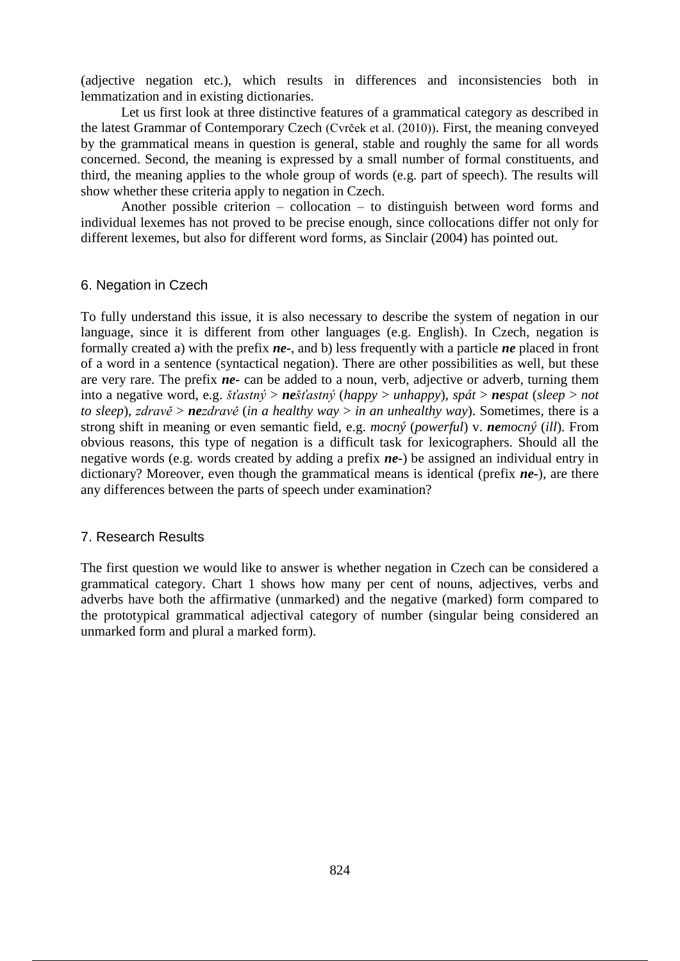(adjective negation etc.), which results in differences and inconsistencies both in lemmatization and in existing dictionaries.

Let us first look at three distinctive features of a grammatical category as described in the latest Grammar of Contemporary Czech (Cvrček et al. (2010)). First, the meaning conveyed by the grammatical means in question is general, stable and roughly the same for all words concerned. Second, the meaning is expressed by a small number of formal constituents, and third, the meaning applies to the whole group of words (e.g. part of speech). The results will show whether these criteria apply to negation in Czech.

Another possible criterion – collocation – to distinguish between word forms and individual lexemes has not proved to be precise enough, since collocations differ not only for different lexemes, but also for different word forms, as Sinclair (2004) has pointed out.

#### 6. Negation in Czech

To fully understand this issue, it is also necessary to describe the system of negation in our language, since it is different from other languages (e.g. English). In Czech, negation is formally created a) with the prefix *ne-*, and b) less frequently with a particle *ne* placed in front of a word in a sentence (syntactical negation). There are other possibilities as well, but these are very rare. The prefix *ne-* can be added to a noun, verb, adjective or adverb, turning them into a negative word, e.g. *šťastný* > *nešťastný* (*happy* > *unhappy*), *spát* > *nespat* (*sleep* > *not to sleep*), *zdravě* > *nezdravě* (*in a healthy way* > *in an unhealthy way*). Sometimes, there is a strong shift in meaning or even semantic field, e.g. *mocný* (*powerful*) v. *nemocný* (*ill*). From obvious reasons, this type of negation is a difficult task for lexicographers. Should all the negative words (e.g. words created by adding a prefix *ne-*) be assigned an individual entry in dictionary? Moreover, even though the grammatical means is identical (prefix *ne-*), are there any differences between the parts of speech under examination?

# 7. Research Results

The first question we would like to answer is whether negation in Czech can be considered a grammatical category. Chart 1 shows how many per cent of nouns, adjectives, verbs and adverbs have both the affirmative (unmarked) and the negative (marked) form compared to the prototypical grammatical adjectival category of number (singular being considered an unmarked form and plural a marked form).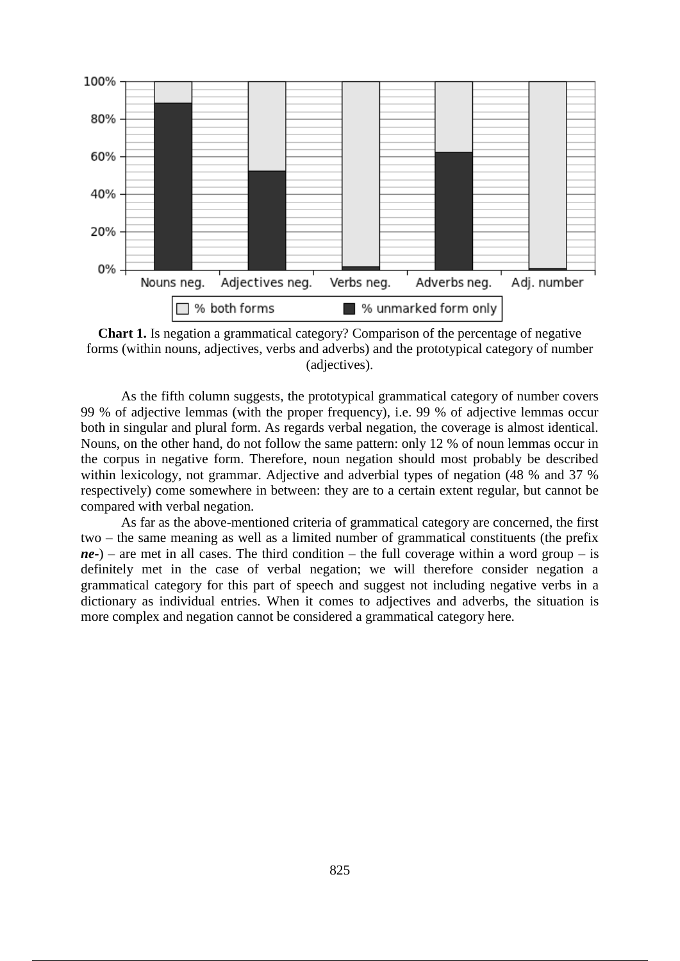

**Chart 1.** Is negation a grammatical category? Comparison of the percentage of negative forms (within nouns, adjectives, verbs and adverbs) and the prototypical category of number (adjectives).

As the fifth column suggests, the prototypical grammatical category of number covers 99 % of adjective lemmas (with the proper frequency), i.e. 99 % of adjective lemmas occur both in singular and plural form. As regards verbal negation, the coverage is almost identical. Nouns, on the other hand, do not follow the same pattern: only 12 % of noun lemmas occur in the corpus in negative form. Therefore, noun negation should most probably be described within lexicology, not grammar. Adjective and adverbial types of negation (48 % and 37 % respectively) come somewhere in between: they are to a certain extent regular, but cannot be compared with verbal negation.

As far as the above-mentioned criteria of grammatical category are concerned, the first two – the same meaning as well as a limited number of grammatical constituents (the prefix  $ne$ -) – are met in all cases. The third condition – the full coverage within a word group – is definitely met in the case of verbal negation; we will therefore consider negation a grammatical category for this part of speech and suggest not including negative verbs in a dictionary as individual entries. When it comes to adjectives and adverbs, the situation is more complex and negation cannot be considered a grammatical category here.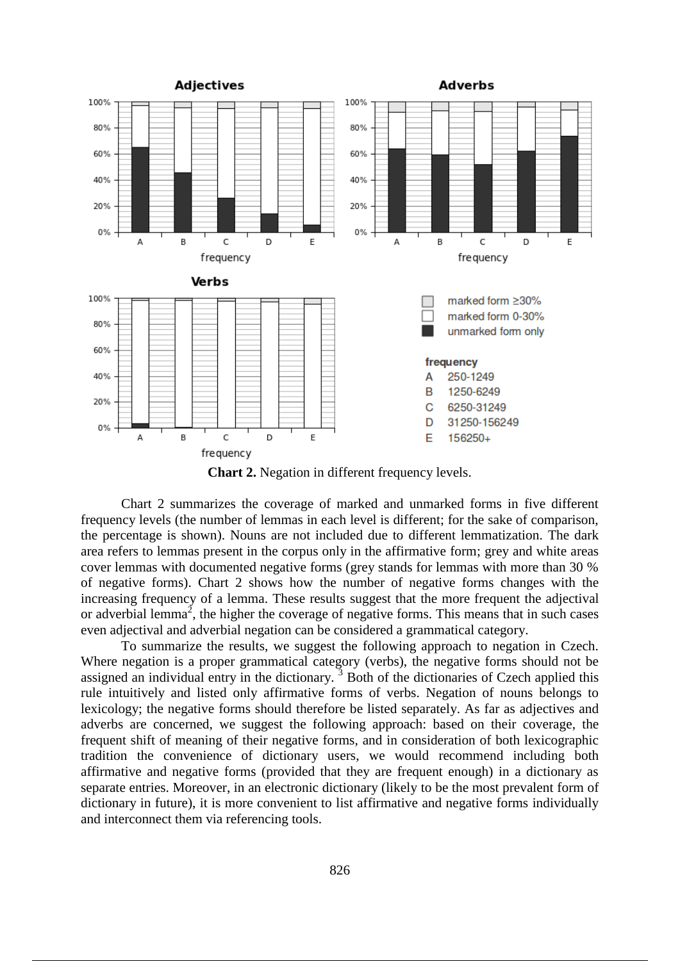

**Chart 2.** Negation in different frequency levels.

Chart 2 summarizes the coverage of marked and unmarked forms in five different frequency levels (the number of lemmas in each level is different; for the sake of comparison, the percentage is shown). Nouns are not included due to different lemmatization. The dark area refers to lemmas present in the corpus only in the affirmative form; grey and white areas cover lemmas with documented negative forms (grey stands for lemmas with more than 30 % of negative forms). Chart 2 shows how the number of negative forms changes with the increasing frequency of a lemma. These results suggest that the more frequent the adjectival or adverbial lemma<sup>2</sup>, the higher the coverage of negative forms. This means that in such cases even adjectival and adverbial negation can be considered a grammatical category.

To summarize the results, we suggest the following approach to negation in Czech. Where negation is a proper grammatical category (verbs), the negative forms should not be assigned an individual entry in the dictionary.<sup>3</sup> Both of the dictionaries of Czech applied this rule intuitively and listed only affirmative forms of verbs. Negation of nouns belongs to lexicology; the negative forms should therefore be listed separately. As far as adjectives and adverbs are concerned, we suggest the following approach: based on their coverage, the frequent shift of meaning of their negative forms, and in consideration of both lexicographic tradition the convenience of dictionary users, we would recommend including both affirmative and negative forms (provided that they are frequent enough) in a dictionary as separate entries. Moreover, in an electronic dictionary (likely to be the most prevalent form of dictionary in future), it is more convenient to list affirmative and negative forms individually and interconnect them via referencing tools.